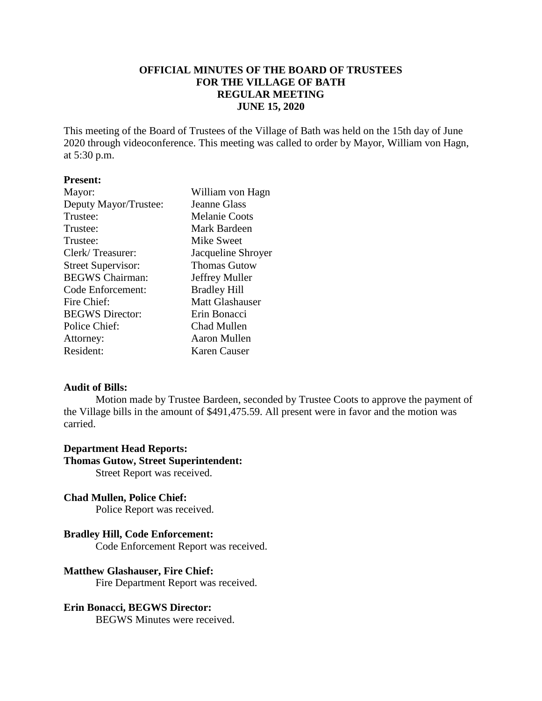# **OFFICIAL MINUTES OF THE BOARD OF TRUSTEES FOR THE VILLAGE OF BATH REGULAR MEETING JUNE 15, 2020**

This meeting of the Board of Trustees of the Village of Bath was held on the 15th day of June 2020 through videoconference. This meeting was called to order by Mayor, William von Hagn, at 5:30 p.m.

# **Present:**

| Mayor:                    | William von Hagn       |
|---------------------------|------------------------|
| Deputy Mayor/Trustee:     | <b>Jeanne Glass</b>    |
| Trustee:                  | <b>Melanie Coots</b>   |
| Trustee:                  | Mark Bardeen           |
| Trustee:                  | Mike Sweet             |
| Clerk/Treasurer:          | Jacqueline Shroyer     |
| <b>Street Supervisor:</b> | <b>Thomas Gutow</b>    |
| <b>BEGWS Chairman:</b>    | Jeffrey Muller         |
| Code Enforcement:         | <b>Bradley Hill</b>    |
| Fire Chief:               | <b>Matt Glashauser</b> |
| <b>BEGWS</b> Director:    | Erin Bonacci           |
| Police Chief:             | Chad Mullen            |
| Attorney:                 | Aaron Mullen           |
| Resident:                 | Karen Causer           |

### **Audit of Bills:**

Motion made by Trustee Bardeen, seconded by Trustee Coots to approve the payment of the Village bills in the amount of \$491,475.59. All present were in favor and the motion was carried.

### **Department Head Reports:**

# **Thomas Gutow, Street Superintendent:**

Street Report was received.

# **Chad Mullen, Police Chief:**

Police Report was received.

# **Bradley Hill, Code Enforcement:**

Code Enforcement Report was received.

# **Matthew Glashauser, Fire Chief:**

Fire Department Report was received.

# **Erin Bonacci, BEGWS Director:**

BEGWS Minutes were received.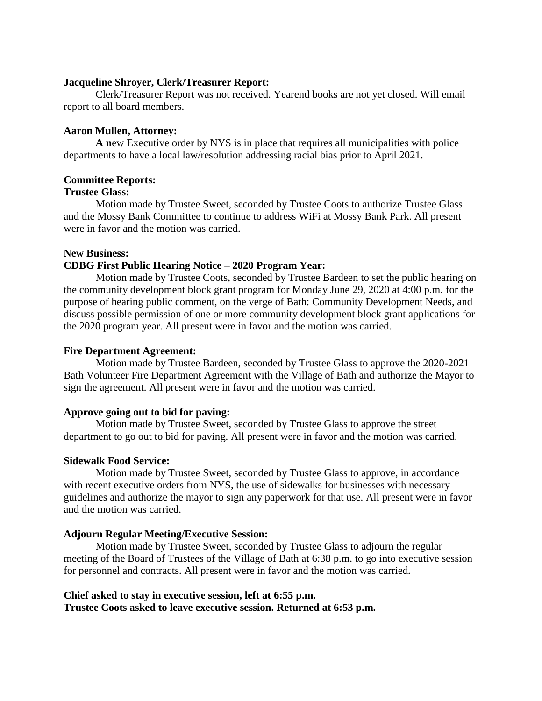### **Jacqueline Shroyer, Clerk/Treasurer Report:**

Clerk/Treasurer Report was not received. Yearend books are not yet closed. Will email report to all board members.

### **Aaron Mullen, Attorney:**

**A n**ew Executive order by NYS is in place that requires all municipalities with police departments to have a local law/resolution addressing racial bias prior to April 2021.

### **Committee Reports:**

#### **Trustee Glass:**

Motion made by Trustee Sweet, seconded by Trustee Coots to authorize Trustee Glass and the Mossy Bank Committee to continue to address WiFi at Mossy Bank Park. All present were in favor and the motion was carried.

#### **New Business:**

### **CDBG First Public Hearing Notice – 2020 Program Year:**

Motion made by Trustee Coots, seconded by Trustee Bardeen to set the public hearing on the community development block grant program for Monday June 29, 2020 at 4:00 p.m. for the purpose of hearing public comment, on the verge of Bath: Community Development Needs, and discuss possible permission of one or more community development block grant applications for the 2020 program year. All present were in favor and the motion was carried.

### **Fire Department Agreement:**

Motion made by Trustee Bardeen, seconded by Trustee Glass to approve the 2020-2021 Bath Volunteer Fire Department Agreement with the Village of Bath and authorize the Mayor to sign the agreement. All present were in favor and the motion was carried.

### **Approve going out to bid for paving:**

Motion made by Trustee Sweet, seconded by Trustee Glass to approve the street department to go out to bid for paving. All present were in favor and the motion was carried.

#### **Sidewalk Food Service:**

Motion made by Trustee Sweet, seconded by Trustee Glass to approve, in accordance with recent executive orders from NYS, the use of sidewalks for businesses with necessary guidelines and authorize the mayor to sign any paperwork for that use. All present were in favor and the motion was carried.

#### **Adjourn Regular Meeting/Executive Session:**

Motion made by Trustee Sweet, seconded by Trustee Glass to adjourn the regular meeting of the Board of Trustees of the Village of Bath at 6:38 p.m. to go into executive session for personnel and contracts. All present were in favor and the motion was carried.

### **Chief asked to stay in executive session, left at 6:55 p.m. Trustee Coots asked to leave executive session. Returned at 6:53 p.m.**